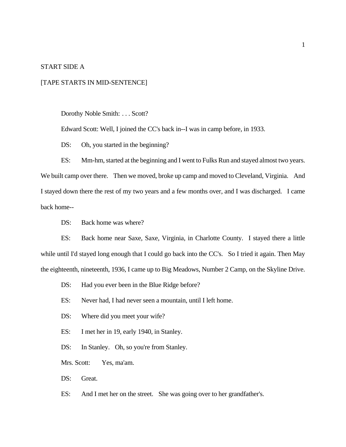#### START SIDE A

### [TAPE STARTS IN MID-SENTENCE]

Dorothy Noble Smith: . . . Scott?

Edward Scott: Well, I joined the CC's back in--I was in camp before, in 1933.

DS: Oh, you started in the beginning?

ES: Mm-hm, started at the beginning and I went to Fulks Run and stayed almost two years. We built camp over there. Then we moved, broke up camp and moved to Cleveland, Virginia. And I stayed down there the rest of my two years and a few months over, and I was discharged. I came back home--

DS: Back home was where?

ES: Back home near Saxe, Saxe, Virginia, in Charlotte County. I stayed there a little while until I'd stayed long enough that I could go back into the CC's. So I tried it again. Then May the eighteenth, nineteenth, 1936, I came up to Big Meadows, Number 2 Camp, on the Skyline Drive.

DS: Had you ever been in the Blue Ridge before?

ES: Never had, I had never seen a mountain, until I left home.

DS: Where did you meet your wife?

ES: I met her in 19, early 1940, in Stanley.

DS: In Stanley. Oh, so you're from Stanley.

Mrs. Scott: Yes, ma'am.

DS: Great.

ES: And I met her on the street. She was going over to her grandfather's.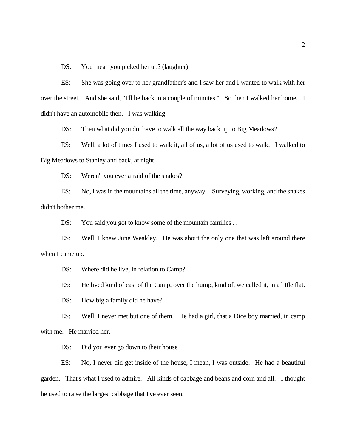DS: You mean you picked her up? (laughter)

ES: She was going over to her grandfather's and I saw her and I wanted to walk with her over the street. And she said, "I'll be back in a couple of minutes." So then I walked her home. I didn't have an automobile then. I was walking.

DS: Then what did you do, have to walk all the way back up to Big Meadows?

ES: Well, a lot of times I used to walk it, all of us, a lot of us used to walk. I walked to Big Meadows to Stanley and back, at night.

DS: Weren't you ever afraid of the snakes?

ES: No, I was in the mountains all the time, anyway. Surveying, working, and the snakes didn't bother me.

DS: You said you got to know some of the mountain families ...

ES: Well, I knew June Weakley. He was about the only one that was left around there when I came up.

DS: Where did he live, in relation to Camp?

ES: He lived kind of east of the Camp, over the hump, kind of, we called it, in a little flat.

DS: How big a family did he have?

ES: Well, I never met but one of them. He had a girl, that a Dice boy married, in camp with me. He married her.

DS: Did you ever go down to their house?

ES: No, I never did get inside of the house, I mean, I was outside. He had a beautiful garden. That's what I used to admire. All kinds of cabbage and beans and corn and all. I thought he used to raise the largest cabbage that I've ever seen.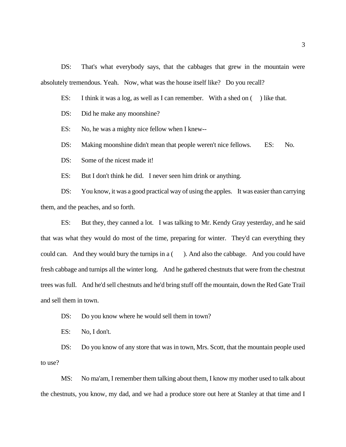DS: That's what everybody says, that the cabbages that grew in the mountain were absolutely tremendous. Yeah. Now, what was the house itself like? Do you recall?

ES: I think it was a log, as well as I can remember. With a shed on () like that.

DS: Did he make any moonshine?

ES: No, he was a mighty nice fellow when I knew--

DS: Making moonshine didn't mean that people weren't nice fellows. ES: No.

DS: Some of the nicest made it!

ES: But I don't think he did. I never seen him drink or anything.

DS: You know, it was a good practical way of using the apples. It was easier than carrying them, and the peaches, and so forth.

ES: But they, they canned a lot. I was talking to Mr. Kendy Gray yesterday, and he said that was what they would do most of the time, preparing for winter. They'd can everything they could can. And they would bury the turnips in a (). And also the cabbage. And you could have fresh cabbage and turnips all the winter long. And he gathered chestnuts that were from the chestnut trees was full. And he'd sell chestnuts and he'd bring stuff off the mountain, down the Red Gate Trail and sell them in town.

DS: Do you know where he would sell them in town?

ES: No, I don't.

DS: Do you know of any store that was in town, Mrs. Scott, that the mountain people used to use?

MS: No ma'am, I remember them talking about them, I know my mother used to talk about the chestnuts, you know, my dad, and we had a produce store out here at Stanley at that time and I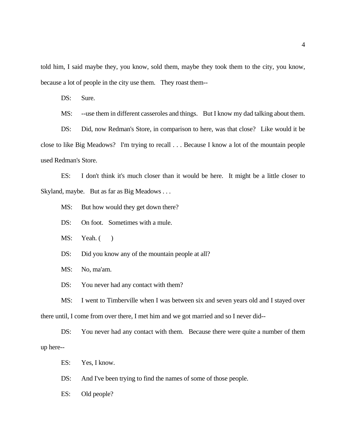told him, I said maybe they, you know, sold them, maybe they took them to the city, you know, because a lot of people in the city use them. They roast them--

DS: Sure.

MS: --use them in different casseroles and things. But I know my dad talking about them.

DS: Did, now Redman's Store, in comparison to here, was that close? Like would it be close to like Big Meadows? I'm trying to recall . . . Because I know a lot of the mountain people used Redman's Store.

ES: I don't think it's much closer than it would be here. It might be a little closer to Skyland, maybe. But as far as Big Meadows . . .

MS: But how would they get down there?

DS: On foot. Sometimes with a mule.

MS: Yeah. ()

DS: Did you know any of the mountain people at all?

MS: No, ma'am.

DS: You never had any contact with them?

MS: I went to Timberville when I was between six and seven years old and I stayed over there until, I come from over there, I met him and we got married and so I never did--

DS: You never had any contact with them. Because there were quite a number of them up here--

ES: Yes, I know.

DS: And I've been trying to find the names of some of those people.

ES: Old people?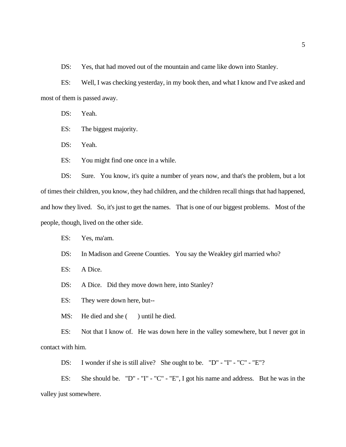DS: Yes, that had moved out of the mountain and came like down into Stanley.

ES: Well, I was checking yesterday, in my book then, and what I know and I've asked and most of them is passed away.

DS: Yeah.

ES: The biggest majority.

DS: Yeah.

ES: You might find one once in a while.

DS: Sure. You know, it's quite a number of years now, and that's the problem, but a lot of times their children, you know, they had children, and the children recall things that had happened, and how they lived. So, it's just to get the names. That is one of our biggest problems. Most of the people, though, lived on the other side.

- ES: Yes, ma'am.
- DS: In Madison and Greene Counties. You say the Weakley girl married who?
- ES: A Dice.
- DS: A Dice. Did they move down here, into Stanley?

ES: They were down here, but--

MS: He died and she () until he died.

ES: Not that I know of. He was down here in the valley somewhere, but I never got in contact with him.

DS: I wonder if she is still alive? She ought to be. "D" - "I" - "C" - "E"?

ES: She should be. "D" - "I" - "C" - "E", I got his name and address. But he was in the valley just somewhere.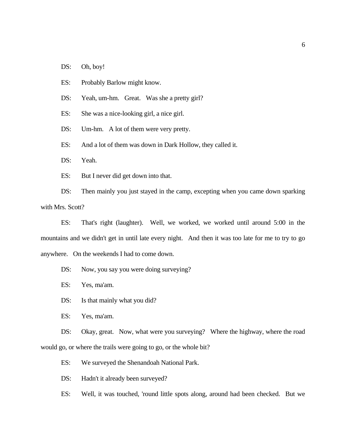- DS: Oh, boy!
- ES: Probably Barlow might know.
- DS: Yeah, um-hm. Great. Was she a pretty girl?

ES: She was a nice-looking girl, a nice girl.

DS: Um-hm. A lot of them were very pretty.

ES: And a lot of them was down in Dark Hollow, they called it.

DS: Yeah.

ES: But I never did get down into that.

DS: Then mainly you just stayed in the camp, excepting when you came down sparking with Mrs. Scott?

 ES: That's right (laughter). Well, we worked, we worked until around 5:00 in the mountains and we didn't get in until late every night. And then it was too late for me to try to go anywhere. On the weekends I had to come down.

DS: Now, you say you were doing surveying?

ES: Yes, ma'am.

DS: Is that mainly what you did?

ES: Yes, ma'am.

DS: Okay, great. Now, what were you surveying? Where the highway, where the road would go, or where the trails were going to go, or the whole bit?

ES: We surveyed the Shenandoah National Park.

DS: Hadn't it already been surveyed?

ES: Well, it was touched, 'round little spots along, around had been checked. But we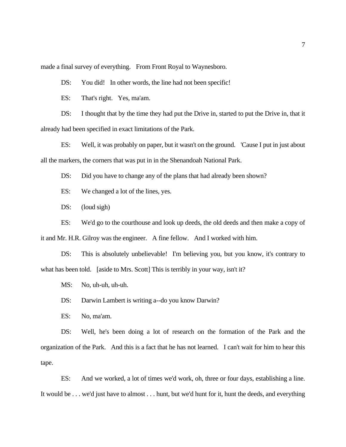made a final survey of everything. From Front Royal to Waynesboro.

DS: You did! In other words, the line had not been specific!

ES: That's right. Yes, ma'am.

DS: I thought that by the time they had put the Drive in, started to put the Drive in, that it already had been specified in exact limitations of the Park.

ES: Well, it was probably on paper, but it wasn't on the ground. 'Cause I put in just about all the markers, the corners that was put in in the Shenandoah National Park.

DS: Did you have to change any of the plans that had already been shown?

ES: We changed a lot of the lines, yes.

DS: (loud sigh)

ES: We'd go to the courthouse and look up deeds, the old deeds and then make a copy of it and Mr. H.R. Gilroy was the engineer. A fine fellow. And I worked with him.

DS: This is absolutely unbelievable! I'm believing you, but you know, it's contrary to what has been told. [aside to Mrs. Scott] This is terribly in your way, isn't it?

MS: No, uh-uh, uh-uh.

DS: Darwin Lambert is writing a--do you know Darwin?

ES: No, ma'am.

DS: Well, he's been doing a lot of research on the formation of the Park and the organization of the Park. And this is a fact that he has not learned. I can't wait for him to hear this tape.

ES: And we worked, a lot of times we'd work, oh, three or four days, establishing a line. It would be . . . we'd just have to almost . . . hunt, but we'd hunt for it, hunt the deeds, and everything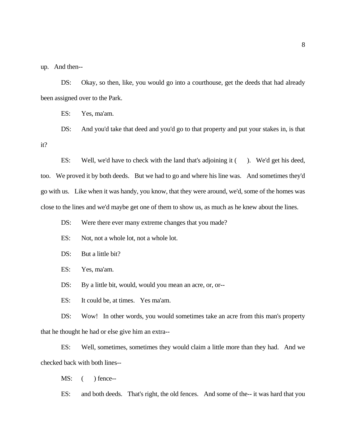up. And then--

DS: Okay, so then, like, you would go into a courthouse, get the deeds that had already been assigned over to the Park.

ES: Yes, ma'am.

DS: And you'd take that deed and you'd go to that property and put your stakes in, is that it?

ES: Well, we'd have to check with the land that's adjoining it (). We'd get his deed, too. We proved it by both deeds. But we had to go and where his line was. And sometimes they'd go with us. Like when it was handy, you know, that they were around, we'd, some of the homes was close to the lines and we'd maybe get one of them to show us, as much as he knew about the lines.

DS: Were there ever many extreme changes that you made?

ES: Not, not a whole lot, not a whole lot.

DS: But a little bit?

ES: Yes, ma'am.

DS: By a little bit, would, would you mean an acre, or, or--

ES: It could be, at times. Yes ma'am.

DS: Wow! In other words, you would sometimes take an acre from this man's property that he thought he had or else give him an extra--

ES: Well, sometimes, sometimes they would claim a little more than they had. And we checked back with both lines--

MS:  $($  ) fence--

ES: and both deeds. That's right, the old fences. And some of the-- it was hard that you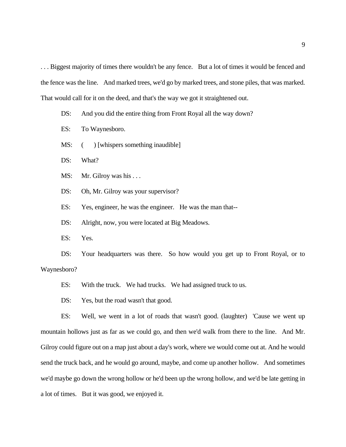. . . Biggest majority of times there wouldn't be any fence. But a lot of times it would be fenced and the fence was the line. And marked trees, we'd go by marked trees, and stone piles, that was marked. That would call for it on the deed, and that's the way we got it straightened out.

- DS: And you did the entire thing from Front Royal all the way down?
- ES: To Waynesboro.
- MS:  $\qquad)$  [whispers something inaudible]
- DS: What?
- MS: Mr. Gilroy was his ...
- DS: Oh, Mr. Gilroy was your supervisor?
- ES: Yes, engineer, he was the engineer. He was the man that--
- DS: Alright, now, you were located at Big Meadows.
- ES: Yes.

DS: Your headquarters was there. So how would you get up to Front Royal, or to Waynesboro?

- ES: With the truck. We had trucks. We had assigned truck to us.
- DS: Yes, but the road wasn't that good.

ES: Well, we went in a lot of roads that wasn't good. (laughter) 'Cause we went up mountain hollows just as far as we could go, and then we'd walk from there to the line. And Mr. Gilroy could figure out on a map just about a day's work, where we would come out at. And he would send the truck back, and he would go around, maybe, and come up another hollow. And sometimes we'd maybe go down the wrong hollow or he'd been up the wrong hollow, and we'd be late getting in a lot of times. But it was good, we enjoyed it.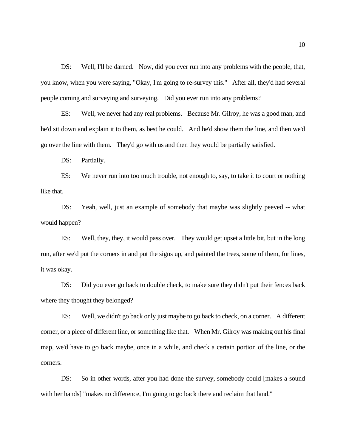DS: Well, I'll be darned. Now, did you ever run into any problems with the people, that, you know, when you were saying, "Okay, I'm going to re-survey this." After all, they'd had several people coming and surveying and surveying. Did you ever run into any problems?

ES: Well, we never had any real problems. Because Mr. Gilroy, he was a good man, and he'd sit down and explain it to them, as best he could. And he'd show them the line, and then we'd go over the line with them. They'd go with us and then they would be partially satisfied.

DS: Partially.

ES: We never run into too much trouble, not enough to, say, to take it to court or nothing like that.

DS: Yeah, well, just an example of somebody that maybe was slightly peeved -- what would happen?

ES: Well, they, they, it would pass over. They would get upset a little bit, but in the long run, after we'd put the corners in and put the signs up, and painted the trees, some of them, for lines, it was okay.

DS: Did you ever go back to double check, to make sure they didn't put their fences back where they thought they belonged?

ES: Well, we didn't go back only just maybe to go back to check, on a corner. A different corner, or a piece of different line, or something like that. When Mr. Gilroy was making out his final map, we'd have to go back maybe, once in a while, and check a certain portion of the line, or the corners.

DS: So in other words, after you had done the survey, somebody could [makes a sound with her hands] "makes no difference, I'm going to go back there and reclaim that land."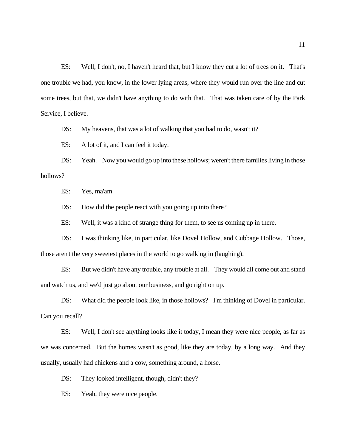ES: Well, I don't, no, I haven't heard that, but I know they cut a lot of trees on it. That's one trouble we had, you know, in the lower lying areas, where they would run over the line and cut some trees, but that, we didn't have anything to do with that. That was taken care of by the Park Service, I believe.

DS: My heavens, that was a lot of walking that you had to do, wasn't it?

ES: A lot of it, and I can feel it today.

DS: Yeah. Now you would go up into these hollows; weren't there families living in those hollows?

ES: Yes, ma'am.

DS: How did the people react with you going up into there?

ES: Well, it was a kind of strange thing for them, to see us coming up in there.

DS: I was thinking like, in particular, like Dovel Hollow, and Cubbage Hollow. Those, those aren't the very sweetest places in the world to go walking in (laughing).

ES: But we didn't have any trouble, any trouble at all. They would all come out and stand and watch us, and we'd just go about our business, and go right on up.

DS: What did the people look like, in those hollows? I'm thinking of Dovel in particular. Can you recall?

ES: Well, I don't see anything looks like it today, I mean they were nice people, as far as we was concerned. But the homes wasn't as good, like they are today, by a long way. And they usually, usually had chickens and a cow, something around, a horse.

DS: They looked intelligent, though, didn't they?

ES: Yeah, they were nice people.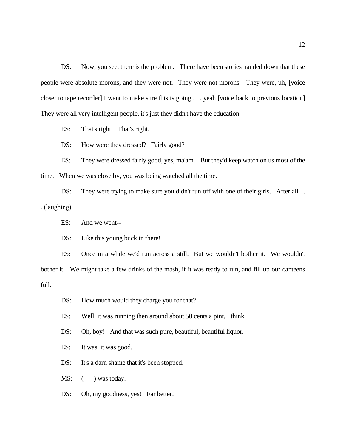DS: Now, you see, there is the problem. There have been stories handed down that these people were absolute morons, and they were not. They were not morons. They were, uh, [voice closer to tape recorder] I want to make sure this is going . . . yeah [voice back to previous location] They were all very intelligent people, it's just they didn't have the education.

ES: That's right. That's right.

DS: How were they dressed? Fairly good?

ES: They were dressed fairly good, yes, ma'am. But they'd keep watch on us most of the time. When we was close by, you was being watched all the time.

DS: They were trying to make sure you didn't run off with one of their girls. After all .. . (laughing)

ES: And we went--

DS: Like this young buck in there!

ES: Once in a while we'd run across a still. But we wouldn't bother it. We wouldn't bother it. We might take a few drinks of the mash, if it was ready to run, and fill up our canteens full.

- DS: How much would they charge you for that?
- ES: Well, it was running then around about 50 cents a pint, I think.
- DS: Oh, boy! And that was such pure, beautiful, beautiful liquor.
- ES: It was, it was good.

DS: It's a darn shame that it's been stopped.

MS:  $($  ) was today.

DS: Oh, my goodness, yes! Far better!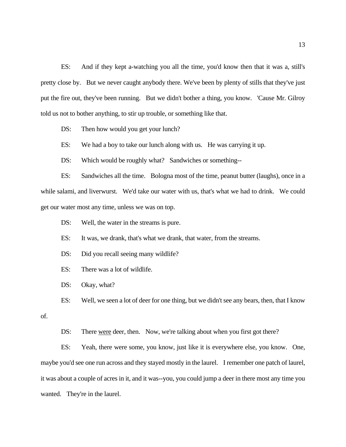ES: And if they kept a-watching you all the time, you'd know then that it was a, still's pretty close by. But we never caught anybody there. We've been by plenty of stills that they've just put the fire out, they've been running. But we didn't bother a thing, you know. 'Cause Mr. Gilroy told us not to bother anything, to stir up trouble, or something like that.

DS: Then how would you get your lunch?

ES: We had a boy to take our lunch along with us. He was carrying it up.

DS: Which would be roughly what? Sandwiches or something--

ES: Sandwiches all the time. Bologna most of the time, peanut butter (laughs), once in a while salami, and liverwurst. We'd take our water with us, that's what we had to drink. We could get our water most any time, unless we was on top.

DS: Well, the water in the streams is pure.

ES: It was, we drank, that's what we drank, that water, from the streams.

DS: Did you recall seeing many wildlife?

ES: There was a lot of wildlife.

DS: Okay, what?

ES: Well, we seen a lot of deer for one thing, but we didn't see any bears, then, that I know

of.

DS: There were deer, then. Now, we're talking about when you first got there?

ES: Yeah, there were some, you know, just like it is everywhere else, you know. One, maybe you'd see one run across and they stayed mostly in the laurel. I remember one patch of laurel, it was about a couple of acres in it, and it was--you, you could jump a deer in there most any time you wanted. They're in the laurel.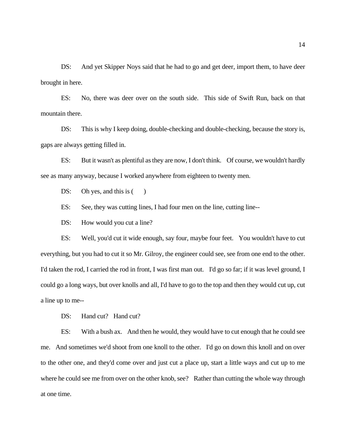DS: And yet Skipper Noys said that he had to go and get deer, import them, to have deer brought in here.

ES: No, there was deer over on the south side. This side of Swift Run, back on that mountain there.

DS: This is why I keep doing, double-checking and double-checking, because the story is, gaps are always getting filled in.

ES: But it wasn't as plentiful as they are now, I don't think. Of course, we wouldn't hardly see as many anyway, because I worked anywhere from eighteen to twenty men.

DS: Oh yes, and this is  $($ )

ES: See, they was cutting lines, I had four men on the line, cutting line--

DS: How would you cut a line?

ES: Well, you'd cut it wide enough, say four, maybe four feet. You wouldn't have to cut everything, but you had to cut it so Mr. Gilroy, the engineer could see, see from one end to the other. I'd taken the rod, I carried the rod in front, I was first man out. I'd go so far; if it was level ground, I could go a long ways, but over knolls and all, I'd have to go to the top and then they would cut up, cut a line up to me--

DS: Hand cut? Hand cut?

ES: With a bush ax. And then he would, they would have to cut enough that he could see me. And sometimes we'd shoot from one knoll to the other. I'd go on down this knoll and on over to the other one, and they'd come over and just cut a place up, start a little ways and cut up to me where he could see me from over on the other knob, see? Rather than cutting the whole way through at one time.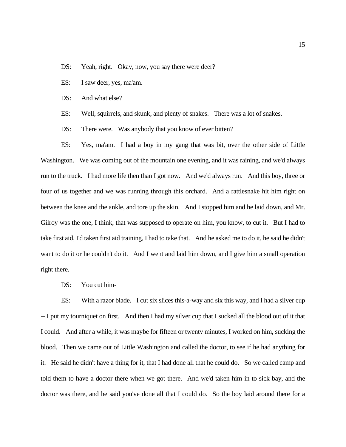- DS: Yeah, right. Okay, now, you say there were deer?
- ES: I saw deer, yes, ma'am.
- DS: And what else?
- ES: Well, squirrels, and skunk, and plenty of snakes. There was a lot of snakes.
- DS: There were. Was anybody that you know of ever bitten?

ES: Yes, ma'am. I had a boy in my gang that was bit, over the other side of Little Washington. We was coming out of the mountain one evening, and it was raining, and we'd always run to the truck. I had more life then than I got now. And we'd always run. And this boy, three or four of us together and we was running through this orchard. And a rattlesnake hit him right on between the knee and the ankle, and tore up the skin. And I stopped him and he laid down, and Mr. Gilroy was the one, I think, that was supposed to operate on him, you know, to cut it. But I had to take first aid, I'd taken first aid training, I had to take that. And he asked me to do it, he said he didn't want to do it or he couldn't do it. And I went and laid him down, and I give him a small operation right there.

DS: You cut him-

ES: With a razor blade. I cut six slices this-a-way and six this way, and I had a silver cup -- I put my tourniquet on first. And then I had my silver cup that I sucked all the blood out of it that I could. And after a while, it was maybe for fifteen or twenty minutes, I worked on him, sucking the blood. Then we came out of Little Washington and called the doctor, to see if he had anything for it. He said he didn't have a thing for it, that I had done all that he could do. So we called camp and told them to have a doctor there when we got there. And we'd taken him in to sick bay, and the doctor was there, and he said you've done all that I could do. So the boy laid around there for a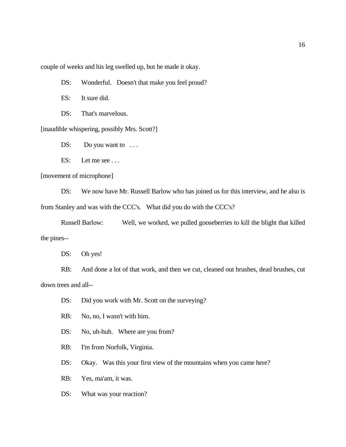couple of weeks and his leg swelled up, but he made it okay.

DS: Wonderful. Doesn't that make you feel proud?

ES: It sure did.

DS: That's marvelous.

[inaudible whispering, possibly Mrs. Scott?]

 $DS:$  Do you want to  $\dots$ 

ES: Let me see ...

[movement of microphone]

DS: We now have Mr. Russell Barlow who has joined us for this interview, and he also is from Stanley and was with the CCC's. What did you do with the CCC's?

Russell Barlow: Well, we worked, we pulled gooseberries to kill the blight that killed the pines--

DS: Oh yes!

RB: And done a lot of that work, and then we cut, cleaned out brushes, dead brushes, cut down trees and all--

DS: Did you work with Mr. Scott on the surveying?

RB: No, no, I wasn't with him.

DS: No, uh-huh. Where are you from?

RB: I'm from Norfolk, Virginia.

DS: Okay. Was this your first view of the mountains when you came here?

RB: Yes, ma'am, it was.

DS: What was your reaction?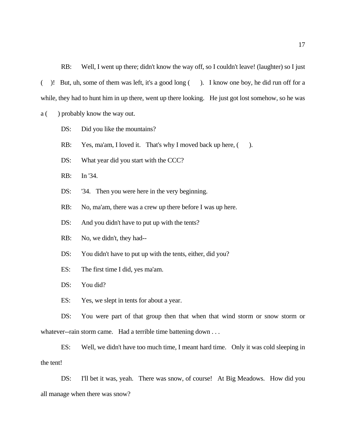RB: Well, I went up there; didn't know the way off, so I couldn't leave! (laughter) so I just ( )! But, uh, some of them was left, it's a good long ( ). I know one boy, he did run off for a while, they had to hunt him in up there, went up there looking. He just got lost somehow, so he was

a ( ) probably know the way out.

DS: Did you like the mountains?

RB: Yes, ma'am, I loved it. That's why I moved back up here,  $($ ).

DS: What year did you start with the CCC?

RB: In '34.

DS: '34. Then you were here in the very beginning.

RB: No, ma'am, there was a crew up there before I was up here.

DS: And you didn't have to put up with the tents?

RB: No, we didn't, they had--

DS: You didn't have to put up with the tents, either, did you?

ES: The first time I did, yes ma'am.

DS: You did?

ES: Yes, we slept in tents for about a year.

DS: You were part of that group then that when that wind storm or snow storm or whatever--rain storm came. Had a terrible time battening down . . .

 ES: Well, we didn't have too much time, I meant hard time. Only it was cold sleeping in the tent!

DS: I'll bet it was, yeah. There was snow, of course! At Big Meadows. How did you all manage when there was snow?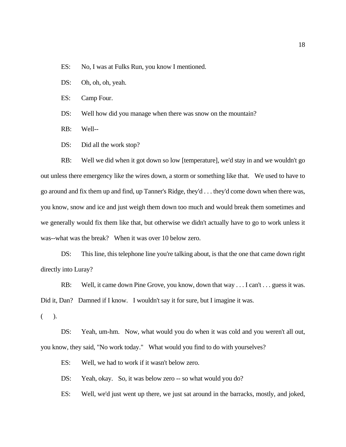ES: No, I was at Fulks Run, you know I mentioned.

DS: Oh, oh, oh, yeah.

ES: Camp Four.

DS: Well how did you manage when there was snow on the mountain?

RB: Well--

DS: Did all the work stop?

RB: Well we did when it got down so low [temperature], we'd stay in and we wouldn't go out unless there emergency like the wires down, a storm or something like that. We used to have to go around and fix them up and find, up Tanner's Ridge, they'd . . . they'd come down when there was, you know, snow and ice and just weigh them down too much and would break them sometimes and we generally would fix them like that, but otherwise we didn't actually have to go to work unless it was--what was the break? When it was over 10 below zero.

DS: This line, this telephone line you're talking about, is that the one that came down right directly into Luray?

RB: Well, it came down Pine Grove, you know, down that way . . . I can't . . . guess it was. Did it, Dan? Damned if I know. I wouldn't say it for sure, but I imagine it was.

( ).

DS: Yeah, um-hm. Now, what would you do when it was cold and you weren't all out, you know, they said, "No work today." What would you find to do with yourselves?

ES: Well, we had to work if it wasn't below zero.

DS: Yeah, okay. So, it was below zero -- so what would you do?

ES: Well, we'd just went up there, we just sat around in the barracks, mostly, and joked,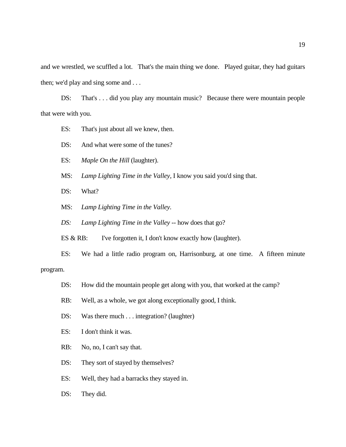and we wrestled, we scuffled a lot. That's the main thing we done. Played guitar, they had guitars then; we'd play and sing some and . . .

DS: That's . . . did you play any mountain music? Because there were mountain people that were with you.

- ES: That's just about all we knew, then.
- DS: And what were some of the tunes?
- ES: *Maple On the Hill* (laughter).
- MS: *Lamp Lighting Time in the Valley,* I know you said you'd sing that.
- DS: What?
- MS: *Lamp Lighting Time in the Valley.*
- *DS: Lamp Lighting Time in the Valley* -- how does that go?
- ES & RB: I've forgotten it, I don't know exactly how (laughter).
- ES: We had a little radio program on, Harrisonburg, at one time. A fifteen minute

# program.

- DS: How did the mountain people get along with you, that worked at the camp?
- RB: Well, as a whole, we got along exceptionally good, I think.
- DS: Was there much . . . integration? (laughter)
- ES: I don't think it was.
- RB: No, no, I can't say that.
- DS: They sort of stayed by themselves?
- ES: Well, they had a barracks they stayed in.
- DS: They did.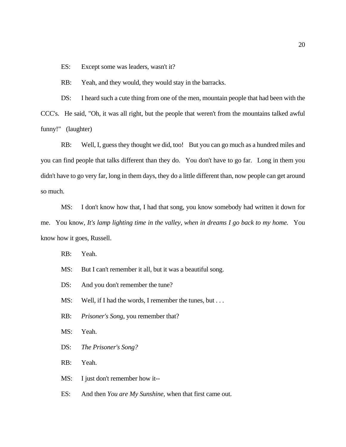ES: Except some was leaders, wasn't it?

RB: Yeah, and they would, they would stay in the barracks.

DS: I heard such a cute thing from one of the men, mountain people that had been with the CCC's. He said, "Oh, it was all right, but the people that weren't from the mountains talked awful funny!" (laughter)

RB: Well, I, guess they thought we did, too! But you can go much as a hundred miles and you can find people that talks different than they do. You don't have to go far. Long in them you didn't have to go very far, long in them days, they do a little different than, now people can get around so much.

MS: I don't know how that, I had that song, you know somebody had written it down for me. You know, *It's lamp lighting time in the valley, when in dreams I go back to my home.* You know how it goes, Russell.

RB: Yeah.

- MS: But I can't remember it all, but it was a beautiful song.
- DS: And you don't remember the tune?
- MS: Well, if I had the words, I remember the tunes, but . . .
- RB: *Prisoner's Song,* you remember that?
- MS: Yeah.
- DS: *The Prisoner's Song?*

RB: Yeah.

MS: I just don't remember how it--

ES: And then *You are My Sunshine,* when that first came out.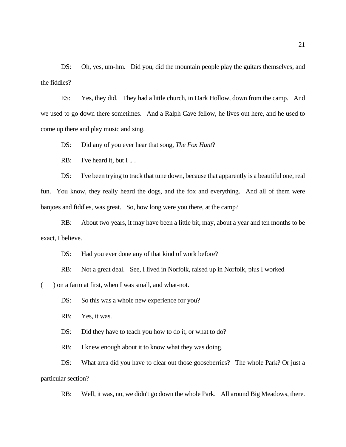DS: Oh, yes, um-hm. Did you, did the mountain people play the guitars themselves, and the fiddles?

ES: Yes, they did. They had a little church, in Dark Hollow, down from the camp. And we used to go down there sometimes. And a Ralph Cave fellow, he lives out here, and he used to come up there and play music and sing.

DS: Did any of you ever hear that song, *The Fox Hunt*?

RB: I've heard it, but I ...

DS: I've been trying to track that tune down, because that apparently is a beautiful one, real fun. You know, they really heard the dogs, and the fox and everything. And all of them were banjoes and fiddles, was great. So, how long were you there, at the camp?

RB: About two years, it may have been a little bit, may, about a year and ten months to be exact, I believe.

DS: Had you ever done any of that kind of work before?

RB: Not a great deal. See, I lived in Norfolk, raised up in Norfolk, plus I worked

(a) on a farm at first, when I was small, and what-not.

DS: So this was a whole new experience for you?

RB: Yes, it was.

DS: Did they have to teach you how to do it, or what to do?

RB: I knew enough about it to know what they was doing.

DS: What area did you have to clear out those gooseberries? The whole Park? Or just a particular section?

RB: Well, it was, no, we didn't go down the whole Park. All around Big Meadows, there.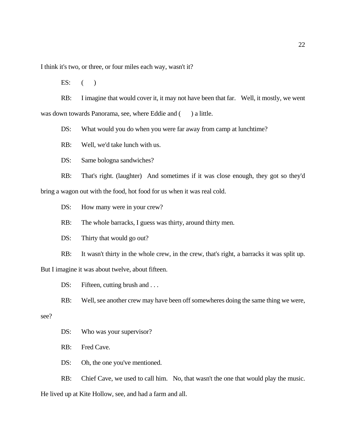I think it's two, or three, or four miles each way, wasn't it?

ES:  $($ 

RB: I imagine that would cover it, it may not have been that far. Well, it mostly, we went was down towards Panorama, see, where Eddie and () a little.

DS: What would you do when you were far away from camp at lunchtime?

RB: Well, we'd take lunch with us.

DS: Same bologna sandwiches?

RB: That's right. (laughter) And sometimes if it was close enough, they got so they'd bring a wagon out with the food, hot food for us when it was real cold.

DS: How many were in your crew?

RB: The whole barracks, I guess was thirty, around thirty men.

DS: Thirty that would go out?

RB: It wasn't thirty in the whole crew, in the crew, that's right, a barracks it was split up.

But I imagine it was about twelve, about fifteen.

DS: Fifteen, cutting brush and ...

RB: Well, see another crew may have been off somewheres doing the same thing we were,

see?

DS: Who was your supervisor?

RB: Fred Cave.

DS: Oh, the one you've mentioned.

RB: Chief Cave, we used to call him. No, that wasn't the one that would play the music.

He lived up at Kite Hollow, see, and had a farm and all.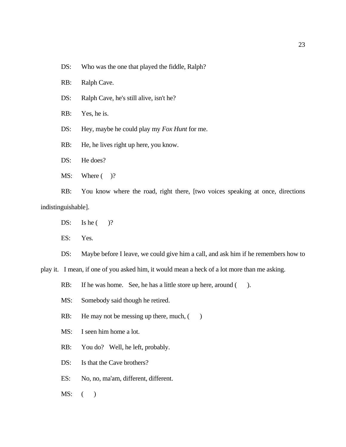- DS: Who was the one that played the fiddle, Ralph?
- RB: Ralph Cave.
- DS: Ralph Cave, he's still alive, isn't he?
- RB: Yes, he is.
- DS: Hey, maybe he could play my *Fox Hunt* for me.
- RB: He, he lives right up here, you know.
- DS: He does?
- MS: Where  $($  )?

RB: You know where the road, right there, [two voices speaking at once, directions indistinguishable].

- DS: Is he  $($  )?
- ES: Yes.

DS: Maybe before I leave, we could give him a call, and ask him if he remembers how to

play it. I mean, if one of you asked him, it would mean a heck of a lot more than me asking.

RB: If he was home. See, he has a little store up here, around ().

- MS: Somebody said though he retired.
- RB: He may not be messing up there, much,  $($ )
- MS: I seen him home a lot.
- RB: You do? Well, he left, probably.
- DS: Is that the Cave brothers?
- ES: No, no, ma'am, different, different.
- MS: ( )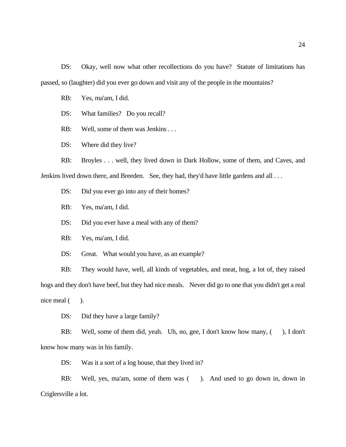DS: Okay, well now what other recollections do you have? Statute of limitations has passed, so (laughter) did you ever go down and visit any of the people in the mountains?

RB: Yes, ma'am, I did.

DS: What families? Do you recall?

RB: Well, some of them was Jenkins . . .

DS: Where did they live?

RB: Broyles . . . well, they lived down in Dark Hollow, some of them, and Caves, and Jenkins lived down there, and Breeden. See, they had, they'd have little gardens and all . . .

DS: Did you ever go into any of their homes?

RB: Yes, ma'am, I did.

DS: Did you ever have a meal with any of them?

RB: Yes, ma'am, I did.

DS: Great. What would you have, as an example?

RB: They would have, well, all kinds of vegetables, and meat, hog, a lot of, they raised hogs and they don't have beef, but they had nice meals. Never did go to one that you didn't get a real nice meal  $($ ).

DS: Did they have a large family?

RB: Well, some of them did, yeah. Uh, no, gee, I don't know how many,  $($ , I don't know how many was in his family.

DS: Was it a sort of a log house, that they lived in?

RB: Well, yes, ma'am, some of them was (). And used to go down in, down in Criglersville a lot.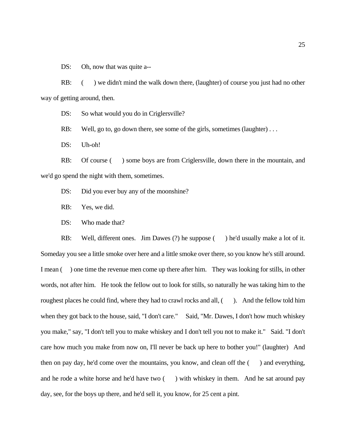DS: Oh, now that was quite a--

RB: () we didn't mind the walk down there, (laughter) of course you just had no other way of getting around, then.

DS: So what would you do in Criglersville?

RB: Well, go to, go down there, see some of the girls, sometimes (laughter) ...

DS: Uh-oh!

RB: Of course () some boys are from Criglersville, down there in the mountain, and we'd go spend the night with them, sometimes.

- DS: Did you ever buy any of the moonshine?
- RB: Yes, we did.
- DS: Who made that?

RB: Well, different ones. Jim Dawes (?) he suppose (black of lead usually make a lot of it. Someday you see a little smoke over here and a little smoke over there, so you know he's still around. I mean () one time the revenue men come up there after him. They was looking for stills, in other words, not after him. He took the fellow out to look for stills, so naturally he was taking him to the roughest places he could find, where they had to crawl rocks and all, (). And the fellow told him when they got back to the house, said, "I don't care." Said, "Mr. Dawes, I don't how much whiskey you make," say, "I don't tell you to make whiskey and I don't tell you not to make it." Said. "I don't care how much you make from now on, I'll never be back up here to bother you!" (laughter) And then on pay day, he'd come over the mountains, you know, and clean off the  $($ ) and everything, and he rode a white horse and he'd have two  $($ ) with whiskey in them. And he sat around pay day, see, for the boys up there, and he'd sell it, you know, for 25 cent a pint.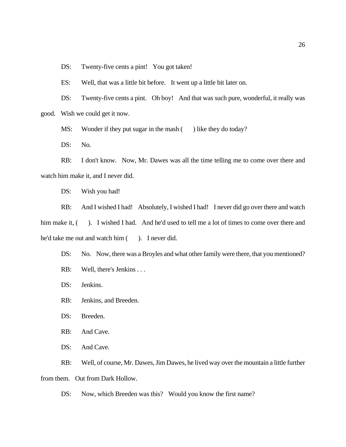DS: Twenty-five cents a pint! You got taken!

ES: Well, that was a little bit before. It went up a little bit later on.

DS: Twenty-five cents a pint. Oh boy! And that was such pure, wonderful, it really was good. Wish we could get it now.

MS: Wonder if they put sugar in the mash () like they do today?

DS: No.

RB: I don't know. Now, Mr. Dawes was all the time telling me to come over there and watch him make it, and I never did.

DS: Wish you had!

RB: And I wished I had! Absolutely, I wished I had! I never did go over there and watch him make it, (). I wished I had. And he'd used to tell me a lot of times to come over there and he'd take me out and watch him ( ). I never did.

DS: No. Now, there was a Broyles and what other family were there, that you mentioned?

- RB: Well, there's Jenkins . . .
- DS: Jenkins.
- RB: Jenkins, and Breeden.
- DS: Breeden.
- RB: And Cave.
- DS: And Cave.

RB: Well, of course, Mr. Dawes, Jim Dawes, he lived way over the mountain a little further from them. Out from Dark Hollow.

DS: Now, which Breeden was this? Would you know the first name?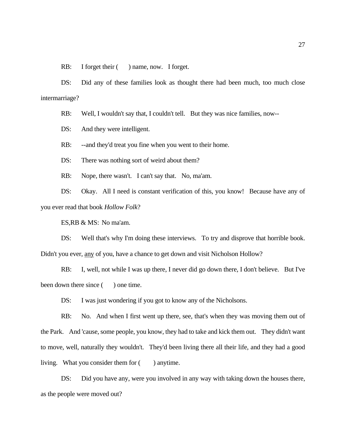RB: I forget their ( ) name, now. I forget.

DS: Did any of these families look as thought there had been much, too much close intermarriage?

RB: Well, I wouldn't say that, I couldn't tell. But they was nice families, now--

DS: And they were intelligent.

RB: --and they'd treat you fine when you went to their home.

DS: There was nothing sort of weird about them?

RB: Nope, there wasn't. I can't say that. No, ma'am.

DS: Okay. All I need is constant verification of this, you know! Because have any of you ever read that book *Hollow Folk*?

ES,RB & MS: No ma'am.

DS: Well that's why I'm doing these interviews. To try and disprove that horrible book. Didn't you ever, any of you, have a chance to get down and visit Nicholson Hollow?

RB: I, well, not while I was up there, I never did go down there, I don't believe. But I've been down there since () one time.

DS: I was just wondering if you got to know any of the Nicholsons.

RB: No. And when I first went up there, see, that's when they was moving them out of the Park. And 'cause, some people, you know, they had to take and kick them out. They didn't want to move, well, naturally they wouldn't. They'd been living there all their life, and they had a good living. What you consider them for  $($  ) anytime.

DS: Did you have any, were you involved in any way with taking down the houses there, as the people were moved out?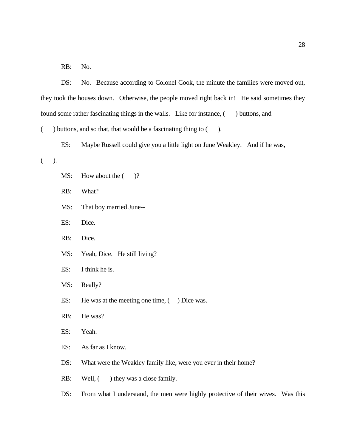RB: No.

DS: No. Because according to Colonel Cook, the minute the families were moved out, they took the houses down. Otherwise, the people moved right back in! He said sometimes they found some rather fascinating things in the walls. Like for instance,  $($ ) buttons, and  $($  ) buttons, and so that, that would be a fascinating thing to  $($  ). ES: Maybe Russell could give you a little light on June Weakley. And if he was, ( ). MS: How about the  $($  )? RB: What? MS: That boy married June-- ES: Dice. RB: Dice. MS: Yeah, Dice. He still living? ES: I think he is. MS: Really? ES: He was at the meeting one time,  $($  ) Dice was. RB: He was? ES: Yeah. ES: As far as I know. DS: What were the Weakley family like, were you ever in their home? RB: Well,  $($  ) they was a close family.

DS: From what I understand, the men were highly protective of their wives. Was this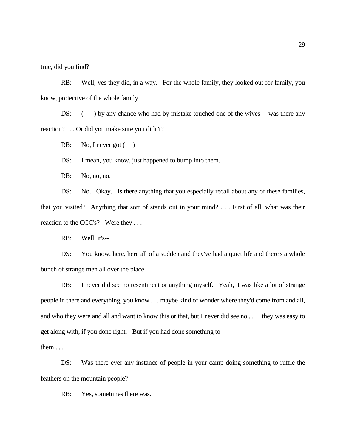true, did you find?

RB: Well, yes they did, in a way. For the whole family, they looked out for family, you know, protective of the whole family.

DS: () by any chance who had by mistake touched one of the wives -- was there any reaction? . . . Or did you make sure you didn't?

RB: No, I never got  $( )$ 

DS: I mean, you know, just happened to bump into them.

RB: No, no, no.

DS: No. Okay. Is there anything that you especially recall about any of these families, that you visited? Anything that sort of stands out in your mind? . . . First of all, what was their reaction to the CCC's? Were they ...

RB: Well, it's--

DS: You know, here, here all of a sudden and they've had a quiet life and there's a whole bunch of strange men all over the place.

RB: I never did see no resentment or anything myself. Yeah, it was like a lot of strange people in there and everything, you know . . . maybe kind of wonder where they'd come from and all, and who they were and all and want to know this or that, but I never did see no . . . they was easy to get along with, if you done right. But if you had done something to

them . . .

DS: Was there ever any instance of people in your camp doing something to ruffle the feathers on the mountain people?

RB: Yes, sometimes there was.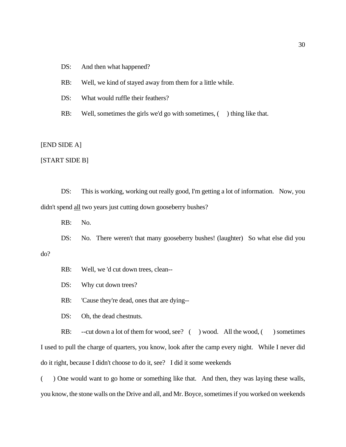## DS: And then what happened?

RB: Well, we kind of stayed away from them for a little while.

DS: What would ruffle their feathers?

RB: Well, sometimes the girls we'd go with sometimes, () thing like that.

[END SIDE A]

[START SIDE B]

DS: This is working, working out really good, I'm getting a lot of information. Now, you didn't spend all two years just cutting down gooseberry bushes?

RB: No.

DS: No. There weren't that many gooseberry bushes! (laughter) So what else did you do?

RB: Well, we 'd cut down trees, clean--

DS: Why cut down trees?

RB: 'Cause they're dead, ones that are dying--

DS: Oh, the dead chestnuts.

RB: --cut down a lot of them for wood, see? ( ) wood. All the wood, ( ) sometimes I used to pull the charge of quarters, you know, look after the camp every night. While I never did do it right, because I didn't choose to do it, see? I did it some weekends

( ) One would want to go home or something like that. And then, they was laying these walls, you know, the stone walls on the Drive and all, and Mr. Boyce, sometimes if you worked on weekends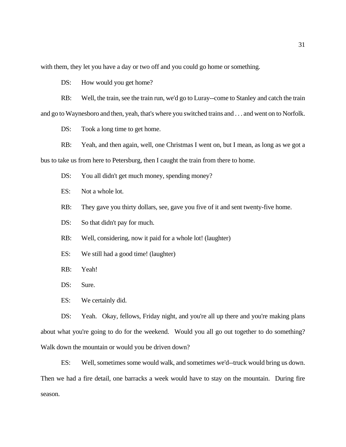with them, they let you have a day or two off and you could go home or something.

DS: How would you get home?

RB: Well, the train, see the train run, we'd go to Luray--come to Stanley and catch the train and go to Waynesboro and then, yeah, that's where you switched trains and . . . and went on to Norfolk.

DS: Took a long time to get home.

RB: Yeah, and then again, well, one Christmas I went on, but I mean, as long as we got a bus to take us from here to Petersburg, then I caught the train from there to home.

DS: You all didn't get much money, spending money?

ES: Not a whole lot.

RB: They gave you thirty dollars, see, gave you five of it and sent twenty-five home.

DS: So that didn't pay for much.

RB: Well, considering, now it paid for a whole lot! (laughter)

ES: We still had a good time! (laughter)

RB: Yeah!

DS: Sure.

ES: We certainly did.

DS: Yeah. Okay, fellows, Friday night, and you're all up there and you're making plans about what you're going to do for the weekend. Would you all go out together to do something? Walk down the mountain or would you be driven down?

ES: Well, sometimes some would walk, and sometimes we'd--truck would bring us down. Then we had a fire detail, one barracks a week would have to stay on the mountain. During fire season.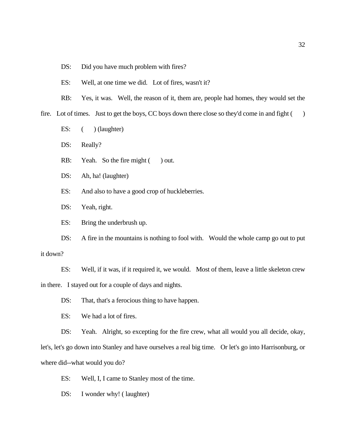- DS: Did you have much problem with fires?
- ES: Well, at one time we did. Lot of fires, wasn't it?
- RB: Yes, it was. Well, the reason of it, them are, people had homes, they would set the

fire. Lot of times. Just to get the boys, CC boys down there close so they'd come in and fight ()

ES:  $($   $)$  (laughter)

DS: Really?

- RB: Yeah. So the fire might ( ) out.
- DS: Ah, ha! (laughter)
- ES: And also to have a good crop of huckleberries.
- DS: Yeah, right.

ES: Bring the underbrush up.

DS: A fire in the mountains is nothing to fool with. Would the whole camp go out to put it down?

ES: Well, if it was, if it required it, we would. Most of them, leave a little skeleton crew in there. I stayed out for a couple of days and nights.

DS: That, that's a ferocious thing to have happen.

ES: We had a lot of fires.

DS: Yeah. Alright, so excepting for the fire crew, what all would you all decide, okay, let's, let's go down into Stanley and have ourselves a real big time. Or let's go into Harrisonburg, or

where did--what would you do?

ES: Well, I, I came to Stanley most of the time.

DS: I wonder why! (laughter)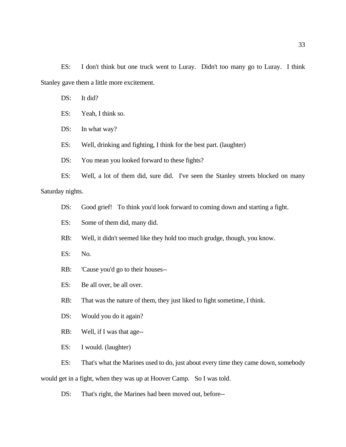ES: I don't think but one truck went to Luray. Didn't too many go to Luray. I think Stanley gave them a little more excitement.

- DS: It did?
- ES: Yeah, I think so.
- DS: In what way?
- ES: Well, drinking and fighting, I think for the best part. (laughter)
- DS: You mean you looked forward to these fights?

ES: Well, a lot of them did, sure did. I've seen the Stanley streets blocked on many Saturday nights.

- DS: Good grief! To think you'd look forward to coming down and starting a fight.
- ES: Some of them did, many did.
- RB: Well, it didn't seemed like they hold too much grudge, though, you know.
- ES: No.
- RB: 'Cause you'd go to their houses--
- ES: Be all over, be all over.

RB: That was the nature of them, they just liked to fight sometime, I think.

- DS: Would you do it again?
- RB: Well, if I was that age--
- ES: I would. (laughter)

ES: That's what the Marines used to do, just about every time they came down, somebody would get in a fight, when they was up at Hoover Camp. So I was told.

DS: That's right, the Marines had been moved out, before--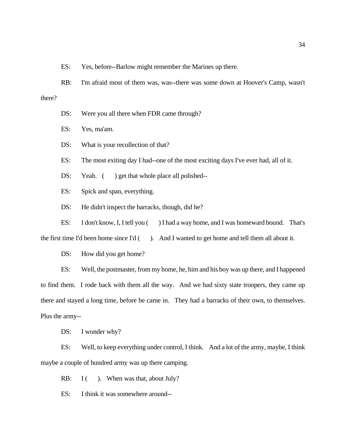ES: Yes, before--Barlow might remember the Marines up there.

RB: I'm afraid most of them was, was--there was some down at Hoover's Camp, wasn't there?

DS: Were you all there when FDR came through?

ES: Yes, ma'am.

DS: What is your recollection of that?

ES: The most exiting day I had--one of the most exciting days I've ever had, all of it.

DS: Yeah. () get that whole place all polished--

ES: Spick and span, everything.

DS: He didn't inspect the barracks, though, did he?

ES: I don't know, I, I tell you () I had a way home, and I was homeward bound. That's

the first time I'd been home since I'd  $($ ). And I wanted to get home and tell them all about it.

DS: How did you get home?

ES: Well, the postmaster, from my home, he, him and his boy was up there, and I happened to find them. I rode back with them all the way. And we had sixty state troopers, they came up there and stayed a long time, before he came in. They had a barracks of their own, to themselves. Plus the army--

DS: I wonder why?

ES: Well, to keep everything under control, I think. And a lot of the army, maybe, I think maybe a couple of hundred army was up there camping.

RB:  $I($  ). When was that, about July?

ES: I think it was somewhere around--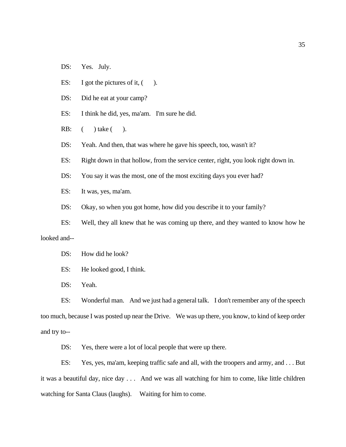- DS: Yes. July.
- ES: I got the pictures of it,  $($ ).
- DS: Did he eat at your camp?
- ES: I think he did, yes, ma'am. I'm sure he did.
- RB: ( ) take ( ).
- DS: Yeah. And then, that was where he gave his speech, too, wasn't it?
- ES: Right down in that hollow, from the service center, right, you look right down in.
- DS: You say it was the most, one of the most exciting days you ever had?
- ES: It was, yes, ma'am.
- DS: Okay, so when you got home, how did you describe it to your family?
- ES: Well, they all knew that he was coming up there, and they wanted to know how he looked and--
	- DS: How did he look?
	- ES: He looked good, I think.
	- DS: Yeah.

ES: Wonderful man. And we just had a general talk. I don't remember any of the speech too much, because I was posted up near the Drive. We was up there, you know, to kind of keep order and try to--

DS: Yes, there were a lot of local people that were up there.

ES: Yes, yes, ma'am, keeping traffic safe and all, with the troopers and army, and . . . But it was a beautiful day, nice day . . . And we was all watching for him to come, like little children watching for Santa Claus (laughs). Waiting for him to come.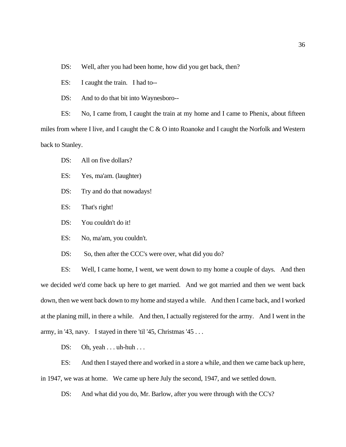DS: Well, after you had been home, how did you get back, then?

ES: I caught the train. I had to--

DS: And to do that bit into Waynesboro--

ES: No, I came from, I caught the train at my home and I came to Phenix, about fifteen miles from where I live, and I caught the C & O into Roanoke and I caught the Norfolk and Western back to Stanley.

DS: All on five dollars?

ES: Yes, ma'am. (laughter)

DS: Try and do that nowadays!

ES: That's right!

DS: You couldn't do it!

ES: No, ma'am, you couldn't.

DS: So, then after the CCC's were over, what did you do?

ES: Well, I came home, I went, we went down to my home a couple of days. And then we decided we'd come back up here to get married. And we got married and then we went back down, then we went back down to my home and stayed a while. And then I came back, and I worked at the planing mill, in there a while. And then, I actually registered for the army. And I went in the army, in '43, navy. I stayed in there 'til '45, Christmas '45...

DS: Oh, yeah . . . uh-huh . . .

ES: And then I stayed there and worked in a store a while, and then we came back up here, in 1947, we was at home. We came up here July the second, 1947, and we settled down.

DS: And what did you do, Mr. Barlow, after you were through with the CC's?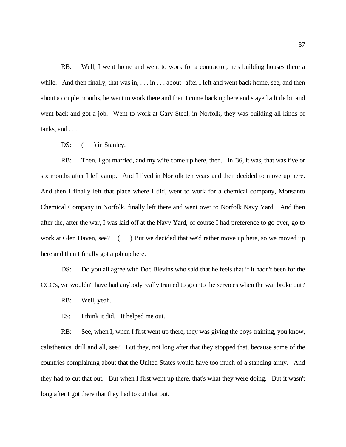RB: Well, I went home and went to work for a contractor, he's building houses there a while. And then finally, that was in, . . . in . . . about--after I left and went back home, see, and then about a couple months, he went to work there and then I come back up here and stayed a little bit and went back and got a job. Went to work at Gary Steel, in Norfolk, they was building all kinds of tanks, and . . .

DS:  $($  ) in Stanley.

RB: Then, I got married, and my wife come up here, then. In '36, it was, that was five or six months after I left camp. And I lived in Norfolk ten years and then decided to move up here. And then I finally left that place where I did, went to work for a chemical company, Monsanto Chemical Company in Norfolk, finally left there and went over to Norfolk Navy Yard. And then after the, after the war, I was laid off at the Navy Yard, of course I had preference to go over, go to work at Glen Haven, see? () But we decided that we'd rather move up here, so we moved up here and then I finally got a job up here.

DS: Do you all agree with Doc Blevins who said that he feels that if it hadn't been for the CCC's, we wouldn't have had anybody really trained to go into the services when the war broke out?

RB: Well, yeah.

ES: I think it did. It helped me out.

RB: See, when I, when I first went up there, they was giving the boys training, you know, calisthenics, drill and all, see? But they, not long after that they stopped that, because some of the countries complaining about that the United States would have too much of a standing army. And they had to cut that out. But when I first went up there, that's what they were doing. But it wasn't long after I got there that they had to cut that out.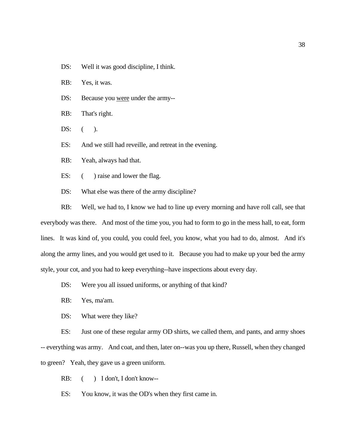DS: Well it was good discipline, I think.

RB: Yes, it was.

- DS: Because you were under the army--
- RB: That's right.
- $DS:$  ( ).

ES: And we still had reveille, and retreat in the evening.

RB: Yeah, always had that.

- ES:  $($  ) raise and lower the flag.
- DS: What else was there of the army discipline?

RB: Well, we had to, I know we had to line up every morning and have roll call, see that everybody was there. And most of the time you, you had to form to go in the mess hall, to eat, form lines. It was kind of, you could, you could feel, you know, what you had to do, almost. And it's along the army lines, and you would get used to it. Because you had to make up your bed the army style, your cot, and you had to keep everything--have inspections about every day.

- DS: Were you all issued uniforms, or anything of that kind?
- RB: Yes, ma'am.
- DS: What were they like?

ES: Just one of these regular army OD shirts, we called them, and pants, and army shoes -- everything was army. And coat, and then, later on--was you up there, Russell, when they changed to green? Yeah, they gave us a green uniform.

RB:  $($  ) I don't, I don't know--

ES: You know, it was the OD's when they first came in.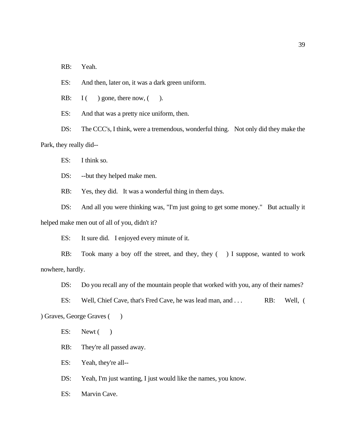RB: Yeah.

ES: And then, later on, it was a dark green uniform.

RB:  $I(\ )$  gone, there now,  $(\ )$ .

ES: And that was a pretty nice uniform, then.

DS: The CCC's, I think, were a tremendous, wonderful thing. Not only did they make the Park, they really did--

ES: I think so.

DS: --but they helped make men.

RB: Yes, they did. It was a wonderful thing in them days.

DS: And all you were thinking was, "I'm just going to get some money." But actually it helped make men out of all of you, didn't it?

ES: It sure did. I enjoyed every minute of it.

RB: Took many a boy off the street, and they, they () I suppose, wanted to work nowhere, hardly.

DS: Do you recall any of the mountain people that worked with you, any of their names?

ES: Well, Chief Cave, that's Fred Cave, he was lead man, and . . . RB: Well, ( ) Graves, George Graves ( )

ES: Newt( $)$ 

RB: They're all passed away.

ES: Yeah, they're all--

DS: Yeah, I'm just wanting, I just would like the names, you know.

ES: Marvin Cave.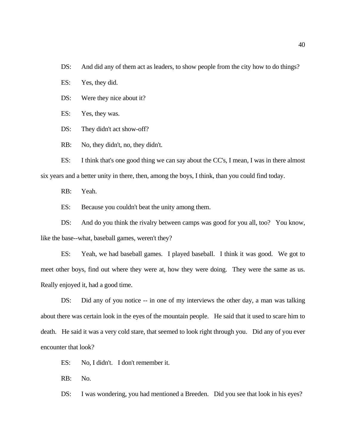DS: And did any of them act as leaders, to show people from the city how to do things?

ES: Yes, they did.

DS: Were they nice about it?

ES: Yes, they was.

DS: They didn't act show-off?

RB: No, they didn't, no, they didn't.

ES: I think that's one good thing we can say about the CC's, I mean, I was in there almost six years and a better unity in there, then, among the boys, I think, than you could find today.

RB: Yeah.

ES: Because you couldn't beat the unity among them.

DS: And do you think the rivalry between camps was good for you all, too? You know, like the base--what, baseball games, weren't they?

ES: Yeah, we had baseball games. I played baseball. I think it was good. We got to meet other boys, find out where they were at, how they were doing. They were the same as us. Really enjoyed it, had a good time.

DS: Did any of you notice -- in one of my interviews the other day, a man was talking about there was certain look in the eyes of the mountain people. He said that it used to scare him to death. He said it was a very cold stare, that seemed to look right through you. Did any of you ever encounter that look?

ES: No, I didn't. I don't remember it.

RB: No.

DS: I was wondering, you had mentioned a Breeden. Did you see that look in his eyes?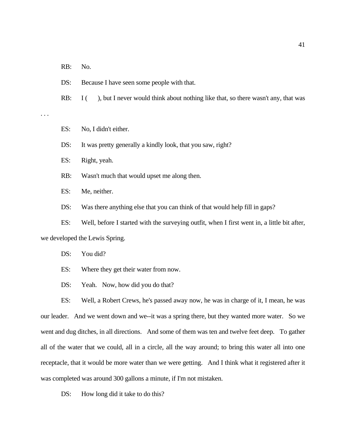RB: No.

DS: Because I have seen some people with that.

RB: I (), but I never would think about nothing like that, so there wasn't any, that was

. . .

ES: No, I didn't either.

DS: It was pretty generally a kindly look, that you saw, right?

ES: Right, yeah.

RB: Wasn't much that would upset me along then.

ES: Me, neither.

DS: Was there anything else that you can think of that would help fill in gaps?

ES: Well, before I started with the surveying outfit, when I first went in, a little bit after,

we developed the Lewis Spring.

DS: You did?

ES: Where they get their water from now.

DS: Yeah. Now, how did you do that?

ES: Well, a Robert Crews, he's passed away now, he was in charge of it, I mean, he was our leader. And we went down and we--it was a spring there, but they wanted more water. So we went and dug ditches, in all directions. And some of them was ten and twelve feet deep. To gather all of the water that we could, all in a circle, all the way around; to bring this water all into one receptacle, that it would be more water than we were getting. And I think what it registered after it was completed was around 300 gallons a minute, if I'm not mistaken.

DS: How long did it take to do this?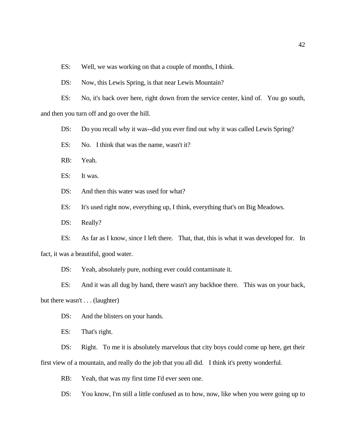ES: Well, we was working on that a couple of months, I think.

DS: Now, this Lewis Spring, is that near Lewis Mountain?

ES: No, it's back over here, right down from the service center, kind of. You go south, and then you turn off and go over the hill.

DS: Do you recall why it was--did you ever find out why it was called Lewis Spring?

ES: No. I think that was the name, wasn't it?

RB: Yeah.

ES: It was.

DS: And then this water was used for what?

ES: It's used right now, everything up, I think, everything that's on Big Meadows.

DS: Really?

ES: As far as I know, since I left there. That, that, this is what it was developed for. In

fact, it was a beautiful, good water.

DS: Yeah, absolutely pure, nothing ever could contaminate it.

ES: And it was all dug by hand, there wasn't any backhoe there. This was on your back,

but there wasn't . . . (laughter)

DS: And the blisters on your hands.

ES: That's right.

DS: Right. To me it is absolutely marvelous that city boys could come up here, get their first view of a mountain, and really do the job that you all did. I think it's pretty wonderful.

RB: Yeah, that was my first time I'd ever seen one.

DS: You know, I'm still a little confused as to how, now, like when you were going up to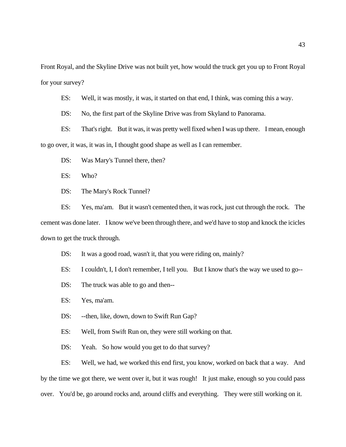Front Royal, and the Skyline Drive was not built yet, how would the truck get you up to Front Royal for your survey?

ES: Well, it was mostly, it was, it started on that end, I think, was coming this a way.

DS: No, the first part of the Skyline Drive was from Skyland to Panorama.

ES: That's right. But it was, it was pretty well fixed when I was up there. I mean, enough to go over, it was, it was in, I thought good shape as well as I can remember.

DS: Was Mary's Tunnel there, then?

ES: Who?

DS: The Mary's Rock Tunnel?

ES: Yes, ma'am. But it wasn't cemented then, it was rock, just cut through the rock. The cement was done later. I know we've been through there, and we'd have to stop and knock the icicles down to get the truck through.

DS: It was a good road, wasn't it, that you were riding on, mainly?

ES: I couldn't, I, I don't remember, I tell you. But I know that's the way we used to go--

DS: The truck was able to go and then--

ES: Yes, ma'am.

DS: --then, like, down, down to Swift Run Gap?

ES: Well, from Swift Run on, they were still working on that.

DS: Yeah. So how would you get to do that survey?

ES: Well, we had, we worked this end first, you know, worked on back that a way. And by the time we got there, we went over it, but it was rough! It just make, enough so you could pass over. You'd be, go around rocks and, around cliffs and everything. They were still working on it.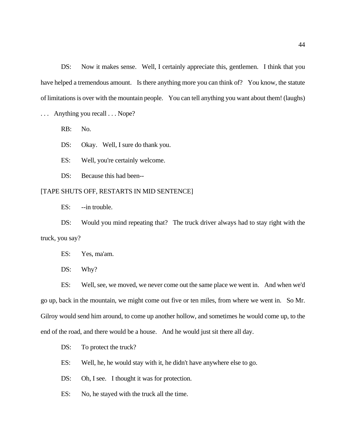DS: Now it makes sense. Well, I certainly appreciate this, gentlemen. I think that you have helped a tremendous amount. Is there anything more you can think of? You know, the statute of limitations is over with the mountain people. You can tell anything you want about them! (laughs)

... Anything you recall ... Nope?

RB: No.

DS: Okay. Well, I sure do thank you.

ES: Well, you're certainly welcome.

DS: Because this had been--

#### [TAPE SHUTS OFF, RESTARTS IN MID SENTENCE]

ES: --in trouble.

DS: Would you mind repeating that? The truck driver always had to stay right with the truck, you say?

ES: Yes, ma'am.

DS: Why?

ES: Well, see, we moved, we never come out the same place we went in. And when we'd go up, back in the mountain, we might come out five or ten miles, from where we went in. So Mr. Gilroy would send him around, to come up another hollow, and sometimes he would come up, to the end of the road, and there would be a house. And he would just sit there all day.

DS: To protect the truck?

ES: Well, he, he would stay with it, he didn't have anywhere else to go.

DS: Oh, I see. I thought it was for protection.

ES: No, he stayed with the truck all the time.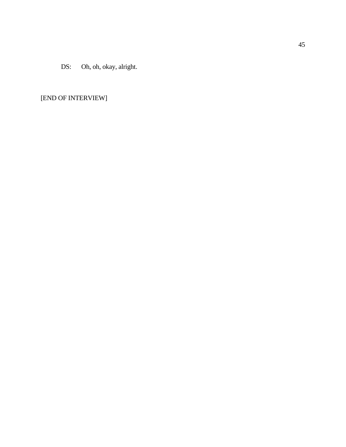DS: Oh, oh, okay, alright.

# [END OF INTERVIEW]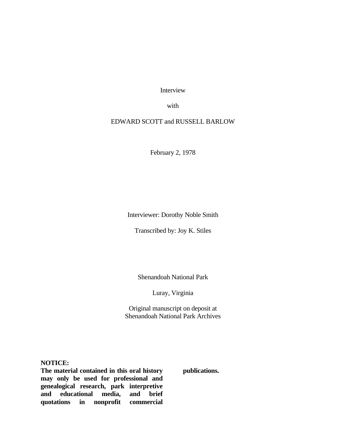Interview

with

# EDWARD SCOTT and RUSSELL BARLOW

February 2, 1978

Interviewer: Dorothy Noble Smith

Transcribed by: Joy K. Stiles

Shenandoah National Park

Luray, Virginia

Original manuscript on deposit at Shenandoah National Park Archives

**NOTICE:**

**The material contained in this oral history may only be used for professional and genealogical research, park interpretive and educational media, and brief quotations in nonprofit commercial**  **publications.**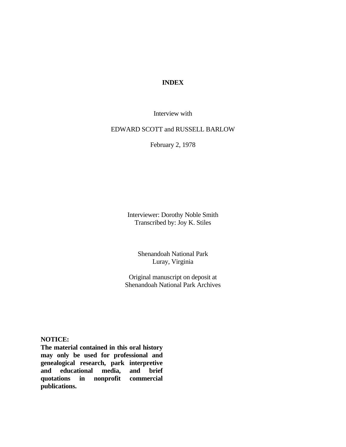# **INDEX**

Interview with

## EDWARD SCOTT and RUSSELL BARLOW

February 2, 1978

Interviewer: Dorothy Noble Smith Transcribed by: Joy K. Stiles

> Shenandoah National Park Luray, Virginia

Original manuscript on deposit at Shenandoah National Park Archives

## **NOTICE:**

**The material contained in this oral history may only be used for professional and genealogical research, park interpretive**  and educational media, **quotations in nonprofit commercial publications.**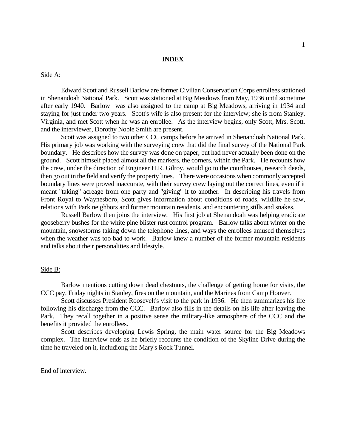## **INDEX**

#### Side A:

Edward Scott and Russell Barlow are former Civilian Conservation Corps enrollees stationed in Shenandoah National Park. Scott was stationed at Big Meadows from May, 1936 until sometime after early 1940. Barlow was also assigned to the camp at Big Meadows, arriving in 1934 and staying for just under two years. Scott's wife is also present for the interview; she is from Stanley, Virginia, and met Scott when he was an enrollee. As the interview begins, only Scott, Mrs. Scott, and the interviewer, Dorothy Noble Smith are present.

Scott was assigned to two other CCC camps before he arrived in Shenandoah National Park. His primary job was working with the surveying crew that did the final survey of the National Park boundary. He describes how the survey was done on paper, but had never actually been done on the ground. Scott himself placed almost all the markers, the corners, within the Park. He recounts how the crew, under the direction of Engineer H.R. Gilroy, would go to the courthouses, research deeds, then go out in the field and verify the property lines. There were occasions when commonly accepted boundary lines were proved inaccurate, with their survey crew laying out the correct lines, even if it meant "taking" acreage from one party and "giving" it to another. In describing his travels from Front Royal to Waynesboro, Scott gives information about conditions of roads, wildlife he saw, relations with Park neighbors and former mountain residents, and encountering stills and snakes.

Russell Barlow then joins the interview. His first job at Shenandoah was helping eradicate gooseberry bushes for the white pine blister rust control program. Barlow talks about winter on the mountain, snowstorms taking down the telephone lines, and ways the enrollees amused themselves when the weather was too bad to work. Barlow knew a number of the former mountain residents and talks about their personalities and lifestyle.

## Side B:

Barlow mentions cutting down dead chestnuts, the challenge of getting home for visits, the CCC pay, Friday nights in Stanley, fires on the mountain, and the Marines from Camp Hoover.

Scott discusses President Roosevelt's visit to the park in 1936. He then summarizes his life following his discharge from the CCC. Barlow also fills in the details on his life after leaving the Park. They recall together in a positive sense the military-like atmosphere of the CCC and the benefits it provided the enrollees.

Scott describes developing Lewis Spring, the main water source for the Big Meadows complex. The interview ends as he briefly recounts the condition of the Skyline Drive during the time he traveled on it, includiong the Mary's Rock Tunnel.

End of interview.